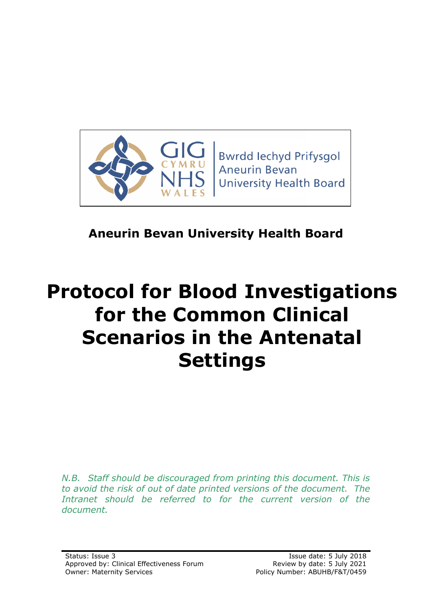

# **Aneurin Bevan University Health Board**

# **Protocol for Blood Investigations for the Common Clinical Scenarios in the Antenatal Settings**

*N.B. Staff should be discouraged from printing this document. This is to avoid the risk of out of date printed versions of the document. The*  Intranet should be referred to for the current version of the *document.*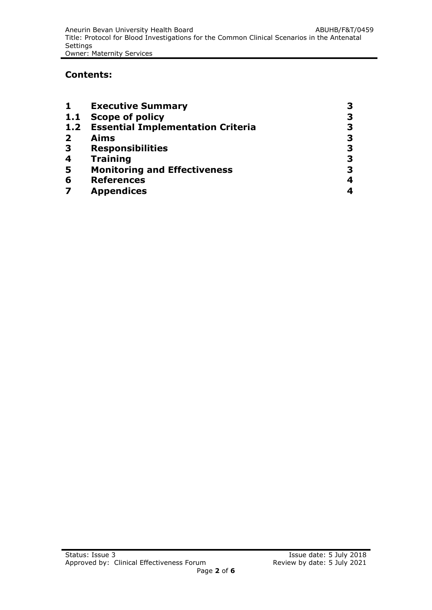#### **Contents:**

| 1                       | <b>Executive Summary</b>                 |   |
|-------------------------|------------------------------------------|---|
| 1.1                     | <b>Scope of policy</b>                   |   |
| 1.2                     | <b>Essential Implementation Criteria</b> |   |
| $\overline{2}$          | <b>Aims</b>                              | 3 |
| 3                       | <b>Responsibilities</b>                  | З |
| 4                       | <b>Training</b>                          |   |
| 5                       | <b>Monitoring and Effectiveness</b>      | З |
| 6                       | <b>References</b>                        | 4 |
| $\overline{\mathbf{z}}$ | <b>Appendices</b>                        |   |
|                         |                                          |   |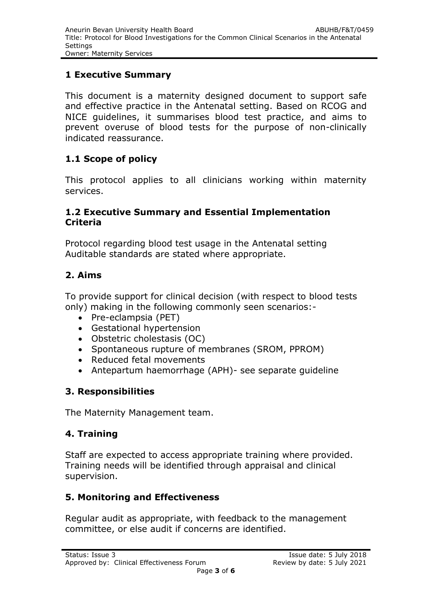#### **1 Executive Summary**

This document is a maternity designed document to support safe and effective practice in the Antenatal setting. Based on RCOG and NICE guidelines, it summarises blood test practice, and aims to prevent overuse of blood tests for the purpose of non-clinically indicated reassurance.

### **1.1 Scope of policy**

This protocol applies to all clinicians working within maternity services.

#### **1.2 Executive Summary and Essential Implementation Criteria**

Protocol regarding blood test usage in the Antenatal setting Auditable standards are stated where appropriate.

#### **2. Aims**

To provide support for clinical decision (with respect to blood tests only) making in the following commonly seen scenarios:-

- Pre-eclampsia (PET)
- Gestational hypertension
- Obstetric cholestasis (OC)
- Spontaneous rupture of membranes (SROM, PPROM)
- Reduced fetal movements
- Antepartum haemorrhage (APH)- see separate guideline

### **3. Responsibilities**

The Maternity Management team.

### **4. Training**

Staff are expected to access appropriate training where provided. Training needs will be identified through appraisal and clinical supervision.

### **5. Monitoring and Effectiveness**

Regular audit as appropriate, with feedback to the management committee, or else audit if concerns are identified.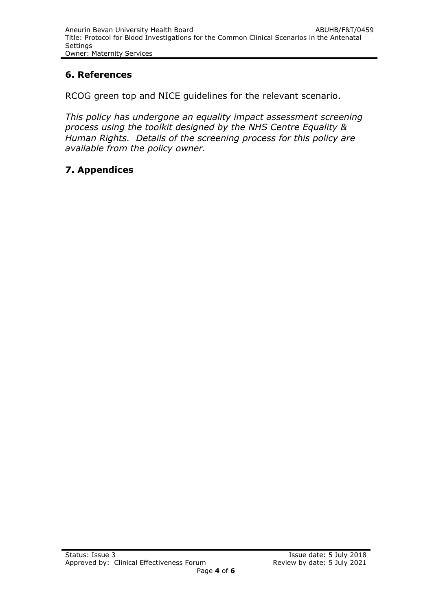### **6. References**

RCOG green top and NICE guidelines for the relevant scenario.

*This policy has undergone an equality impact assessment screening process using the toolkit designed by the NHS Centre Equality & Human Rights. Details of the screening process for this policy are available from the policy owner.*

## **7. Appendices**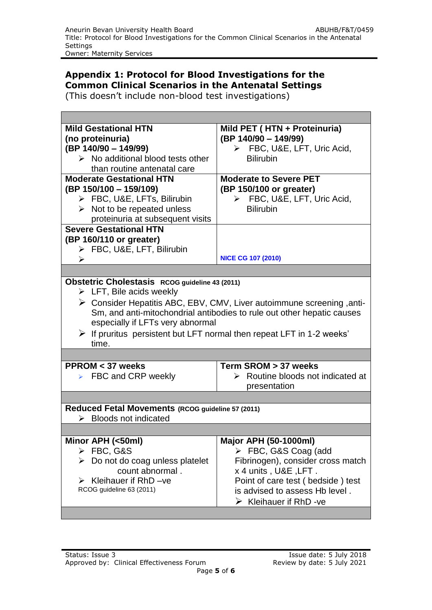#### **Appendix 1: Protocol for Blood Investigations for the Common Clinical Scenarios in the Antenatal Settings**

(This doesn't include non-blood test investigations)

| <b>Mild Gestational HTN</b>                                                               | Mild PET (HTN + Proteinuria)                     |  |  |
|-------------------------------------------------------------------------------------------|--------------------------------------------------|--|--|
| (no proteinuria)                                                                          | (BP 140/90 - 149/99)                             |  |  |
| (BP 140/90 - 149/99)                                                                      | $\triangleright$ FBC, U&E, LFT, Uric Acid,       |  |  |
| $\triangleright$ No additional blood tests other                                          | <b>Bilirubin</b>                                 |  |  |
| than routine antenatal care                                                               |                                                  |  |  |
| <b>Moderate Gestational HTN</b>                                                           | <b>Moderate to Severe PET</b>                    |  |  |
| (BP 150/100 - 159/109)                                                                    | (BP 150/100 or greater)                          |  |  |
| > FBC, U&E, LFTs, Bilirubin                                                               | $\triangleright$ FBC, U&E, LFT, Uric Acid,       |  |  |
| $\triangleright$ Not to be repeated unless                                                | <b>Bilirubin</b>                                 |  |  |
| proteinuria at subsequent visits                                                          |                                                  |  |  |
| <b>Severe Gestational HTN</b>                                                             |                                                  |  |  |
| (BP 160/110 or greater)                                                                   |                                                  |  |  |
| > FBC, U&E, LFT, Bilirubin                                                                |                                                  |  |  |
| ⋗                                                                                         | <b>NICE CG 107 (2010)</b>                        |  |  |
|                                                                                           |                                                  |  |  |
|                                                                                           |                                                  |  |  |
| Obstetric Cholestasis RCOG guideline 43 (2011)<br>$\triangleright$ LFT, Bile acids weekly |                                                  |  |  |
|                                                                                           |                                                  |  |  |
| $\triangleright$ Consider Hepatitis ABC, EBV, CMV, Liver autoimmune screening, anti-      |                                                  |  |  |
| Sm, and anti-mitochondrial antibodies to rule out other hepatic causes                    |                                                  |  |  |
| especially if LFTs very abnormal                                                          |                                                  |  |  |
| $\triangleright$ If pruritus persistent but LFT normal then repeat LFT in 1-2 weeks'      |                                                  |  |  |
| time.                                                                                     |                                                  |  |  |
|                                                                                           |                                                  |  |  |
| $PPROM < 37$ weeks                                                                        | Term SROM > 37 weeks                             |  |  |
| $\triangleright$ FBC and CRP weekly                                                       | $\triangleright$ Routine bloods not indicated at |  |  |
|                                                                                           | presentation                                     |  |  |
|                                                                                           |                                                  |  |  |
| Reduced Fetal Movements (RCOG guideline 57 (2011)                                         |                                                  |  |  |
| <b>Bloods not indicated</b>                                                               |                                                  |  |  |
|                                                                                           |                                                  |  |  |
| Minor APH (<50ml)                                                                         | <b>Major APH (50-1000ml)</b>                     |  |  |
| $\triangleright$ FBC, G&S                                                                 | $\triangleright$ FBC, G&S Coag (add              |  |  |
| $\triangleright$ Do not do coag unless platelet                                           | Fibrinogen), consider cross match                |  |  |
| count abnormal.                                                                           | x 4 units , U&E , LFT .                          |  |  |
| $\triangleright$ Kleihauer if RhD -ve                                                     | Point of care test (bedside) test                |  |  |
| RCOG guideline 63 (2011)                                                                  | is advised to assess Hb level.                   |  |  |
|                                                                                           | $\triangleright$ Kleihauer if RhD -ve            |  |  |
|                                                                                           |                                                  |  |  |
|                                                                                           |                                                  |  |  |